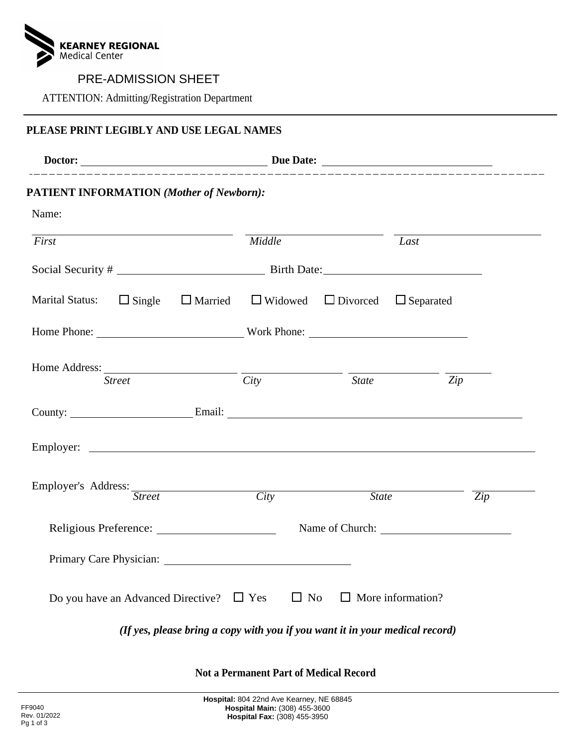

 $\mathcal{S}$  and  $\mathcal{S}$  are dependently dependently dependently dependently dependently dependently dependently dependently dependently dependently dependently dependently dependently dependently dependently dependently dep PRE-ADMISSION SHEET

### **PLEASE PRINT LEGIBLY AND USE LEGAL NAMES**

|                                                                                                                |                                                                              | __________________________________ |                          |                  |
|----------------------------------------------------------------------------------------------------------------|------------------------------------------------------------------------------|------------------------------------|--------------------------|------------------|
| <b>PATIENT INFORMATION (Mother of Newborn):</b>                                                                |                                                                              |                                    |                          |                  |
| Name:                                                                                                          |                                                                              |                                    |                          |                  |
| First                                                                                                          | Middle                                                                       |                                    | Last                     |                  |
|                                                                                                                |                                                                              |                                    |                          |                  |
| Marital Status: $\Box$ Single $\Box$ Married $\Box$ Widowed $\Box$ Divorced $\Box$ Separated                   |                                                                              |                                    |                          |                  |
|                                                                                                                |                                                                              |                                    |                          |                  |
| <b>Street</b>                                                                                                  | City                                                                         | <b>State</b>                       |                          | Zip              |
| County: <u>County:</u> Email: Email:                                                                           |                                                                              |                                    |                          |                  |
|                                                                                                                |                                                                              |                                    |                          |                  |
| Employer's Address: Street                                                                                     | $\frac{City}{t}$                                                             | <b>State</b>                       |                          | $\overline{Zip}$ |
|                                                                                                                |                                                                              |                                    |                          |                  |
| Primary Care Physician: 2008 - 2012 - 2014 - 2015 - 2016 - 2017 - 2018 - 2019 - 2018 - 2019 - 2019 - 2019 - 20 |                                                                              |                                    |                          |                  |
| Do you have an Advanced Directive?                                                                             | $\Box$ No<br>$\Box$ Yes                                                      |                                    | $\Box$ More information? |                  |
|                                                                                                                | (If yes, please bring a copy with you if you want it in your medical record) |                                    |                          |                  |

**Not a Permanent Part of Medical Record**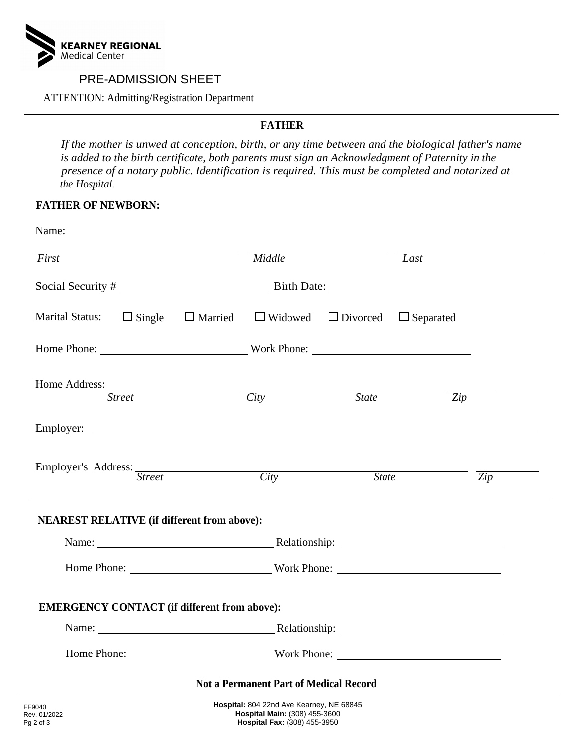

 $\mathcal{S}$  and  $\mathcal{S}$  are dependently dependently dependently dependently dependently. PRE-ADMISSION SHEET

*If the mother is unwed at conception, birth, or any time between and the biological father's name is added to the birth certification*, both parents must sign an example of Paternity in the processes of a notary public. Identification is required. This must be completed and notarized *presence of a notary public. Identification is required. This must be completed and notarized at the Hospital.*

## **FATHER OF NEWBORN:**

| First                                                                                        | Middle           |              | Last             |  |
|----------------------------------------------------------------------------------------------|------------------|--------------|------------------|--|
|                                                                                              |                  |              |                  |  |
| Marital Status: $\Box$ Single $\Box$ Married $\Box$ Widowed $\Box$ Divorced $\Box$ Separated |                  |              |                  |  |
| Home Phone: Work Phone:                                                                      |                  |              |                  |  |
| <b>Street</b>                                                                                | City             | <b>State</b> | Zip              |  |
|                                                                                              |                  |              |                  |  |
| Employer's Address: Street                                                                   | $\frac{City}{t}$ | State        | $\overline{Zip}$ |  |
| ,我们也不会有什么。""我们的人,我们也不会有什么?""我们的人,我们也不会有什么?""我们的人,我们也不会有什么?""我们的人,我们也不会有什么?""我们的人             |                  |              |                  |  |
| <b>NEAREST RELATIVE (if different from above):</b>                                           |                  |              |                  |  |
|                                                                                              |                  |              |                  |  |
| Home Phone: Work Phone:                                                                      |                  |              |                  |  |
| <b>EMERGENCY CONTACT</b> (if different from above):                                          |                  |              |                  |  |
|                                                                                              |                  |              |                  |  |
|                                                                                              |                  |              |                  |  |